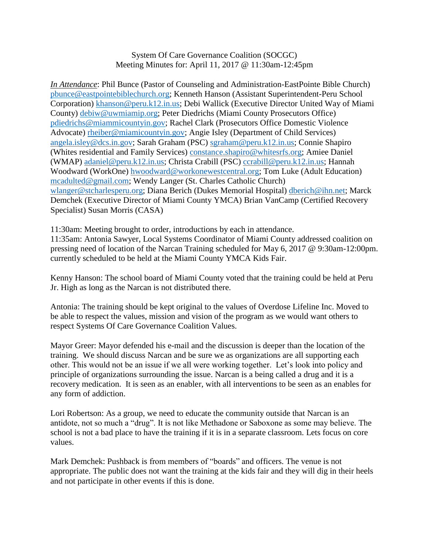## System Of Care Governance Coalition (SOCGC) Meeting Minutes for: April 11, 2017 @ 11:30am-12:45pm

*In Attendance*: Phil Bunce (Pastor of Counseling and Administration-EastPointe Bible Church) [pbunce@eastpointebiblechurch.org;](mailto:pbunce@eastpointebiblechurch.org) Kenneth Hanson (Assistant Superintendent-Peru School Corporation) [khanson@peru.k12.in.us;](mailto:khanson@peru.k12.in.us) Debi Wallick (Executive Director United Way of Miami County) [debiw@uwmiamip.org;](mailto:debiw@uwmiamip.org) Peter Diedrichs (Miami County Prosecutors Office) [pdiedrichs@miammicountyin.gov;](mailto:pdiedrichs@miammicountyin.gov) Rachel Clark (Prosecutors Office Domestic Violence Advocate) [rheiber@miamicountyin.gov;](mailto:rheiber@miamicountyin.gov) Angie Isley (Department of Child Services) [angela.isley@dcs.in.gov;](mailto:angela.isley@dcs.in.gov) Sarah Graham (PSC) [sgraham@peru.k12.in.us;](mailto:sgraham@peru.k12.in.us) Connie Shapiro (Whites residential and Family Services) [constance.shapiro@whitesrfs.org;](mailto:constance.shapiro@whitesrfs.org) Amiee Daniel (WMAP) [adaniel@peru.k12.in.us;](mailto:adaniel@peru.k12.in.us) Christa Crabill (PSC) [ccrabill@peru.k12.in.us;](mailto:ccrabill@peru.k12.in.us) Hannah Woodward (WorkOne) [hwoodward@workonewestcentral.org;](mailto:hwoodward@workonewestcentral.org) Tom Luke (Adult Education) [mcadulted@gmail.com;](mailto:mcadulted@gmail.com) Wendy Langer (St. Charles Catholic Church) [wlanger@stcharlesperu.org;](mailto:wlanger@stcharlesperu.org) Diana Berich (Dukes Memorial Hospital) [dberich@ihn.net;](mailto:dberich@ihn.net) Marck Demchek (Executive Director of Miami County YMCA) Brian VanCamp (Certified Recovery Specialist) Susan Morris (CASA)

11:30am: Meeting brought to order, introductions by each in attendance.

11:35am: Antonia Sawyer, Local Systems Coordinator of Miami County addressed coalition on pressing need of location of the Narcan Training scheduled for May 6, 2017 @ 9:30am-12:00pm. currently scheduled to be held at the Miami County YMCA Kids Fair.

Kenny Hanson: The school board of Miami County voted that the training could be held at Peru Jr. High as long as the Narcan is not distributed there.

Antonia: The training should be kept original to the values of Overdose Lifeline Inc. Moved to be able to respect the values, mission and vision of the program as we would want others to respect Systems Of Care Governance Coalition Values.

Mayor Greer: Mayor defended his e-mail and the discussion is deeper than the location of the training. We should discuss Narcan and be sure we as organizations are all supporting each other. This would not be an issue if we all were working together. Let's look into policy and principle of organizations surrounding the issue. Narcan is a being called a drug and it is a recovery medication. It is seen as an enabler, with all interventions to be seen as an enables for any form of addiction.

Lori Robertson: As a group, we need to educate the community outside that Narcan is an antidote, not so much a "drug". It is not like Methadone or Saboxone as some may believe. The school is not a bad place to have the training if it is in a separate classroom. Lets focus on core values.

Mark Demchek: Pushback is from members of "boards" and officers. The venue is not appropriate. The public does not want the training at the kids fair and they will dig in their heels and not participate in other events if this is done.